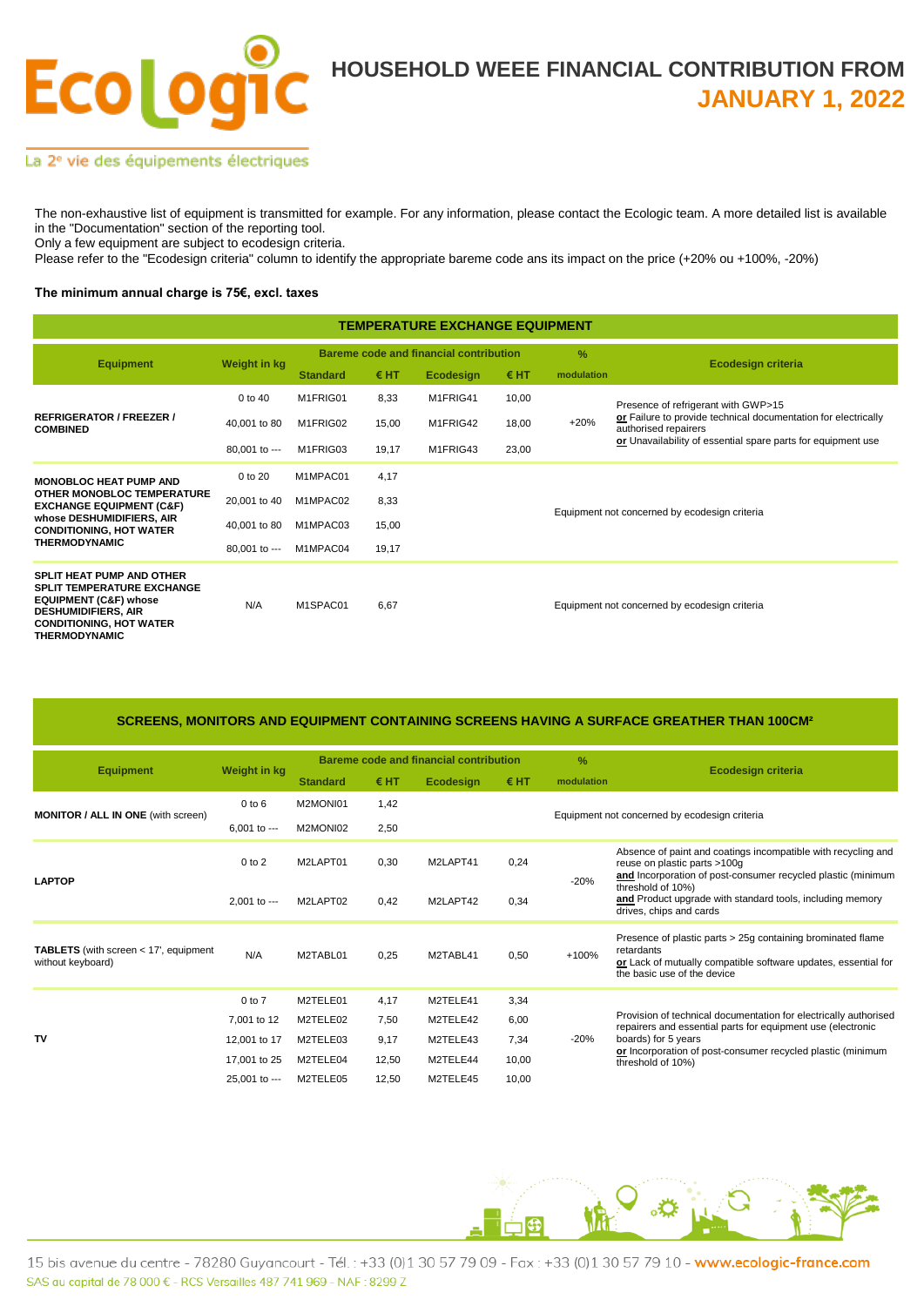

#### La 2<sup>e</sup> vie des équipements électriques

The non-exhaustive list of equipment is transmitted for example. For any information, please contact the Ecologic team. A more detailed list is available in the "Documentation" section of the reporting tool.

Only a few equipment are subject to ecodesign criteria.

Please refer to the "Ecodesign criteria" column to identify the appropriate bareme code ans its impact on the price (+20% ou +100%, -20%)

#### **The minimum annual charge is 75€, excl. taxes**

| <b>TEMPERATURE EXCHANGE EQUIPMENT</b>                                                                                                                                                             |               |                 |       |                                               |               |               |                                                                                                                                                        |  |  |  |
|---------------------------------------------------------------------------------------------------------------------------------------------------------------------------------------------------|---------------|-----------------|-------|-----------------------------------------------|---------------|---------------|--------------------------------------------------------------------------------------------------------------------------------------------------------|--|--|--|
| <b>Equipment</b>                                                                                                                                                                                  | Weight in kg  |                 |       | <b>Bareme code and financial contribution</b> |               | $\frac{9}{6}$ | Ecodesign criteria                                                                                                                                     |  |  |  |
|                                                                                                                                                                                                   |               | <b>Standard</b> | € HT  | Ecodesign                                     | $\epsilon$ HT | modulation    |                                                                                                                                                        |  |  |  |
| <b>REFRIGERATOR / FREEZER /</b><br><b>COMBINED</b>                                                                                                                                                | 0 to 40       | M1FRIG01        | 8,33  | M1FRIG41                                      | 10,00         |               | Presence of refrigerant with GWP>15                                                                                                                    |  |  |  |
|                                                                                                                                                                                                   | 40,001 to 80  | M1FRIG02        | 15,00 | M1FRIG42                                      | 18,00         | $+20%$        | or Failure to provide technical documentation for electrically<br>authorised repairers<br>or Unavailability of essential spare parts for equipment use |  |  |  |
|                                                                                                                                                                                                   | 80.001 to --- | M1FRIG03        | 19,17 | M1FRIG43                                      | 23,00         |               |                                                                                                                                                        |  |  |  |
| <b>MONOBLOC HEAT PUMP AND</b><br>OTHER MONOBLOC TEMPERATURE<br><b>EXCHANGE EQUIPMENT (C&amp;F)</b><br>whose DESHUMIDIFIERS, AIR<br><b>CONDITIONING, HOT WATER</b><br><b>THERMODYNAMIC</b>         | 0 to 20       | M1MPAC01        | 4,17  |                                               |               |               |                                                                                                                                                        |  |  |  |
|                                                                                                                                                                                                   | 20,001 to 40  | M1MPAC02        | 8,33  |                                               |               |               | Equipment not concerned by ecodesign criteria                                                                                                          |  |  |  |
|                                                                                                                                                                                                   | 40,001 to 80  | M1MPAC03        | 15,00 |                                               |               |               |                                                                                                                                                        |  |  |  |
|                                                                                                                                                                                                   | 80.001 to --- | M1MPAC04        | 19,17 |                                               |               |               |                                                                                                                                                        |  |  |  |
| <b>SPLIT HEAT PUMP AND OTHER</b><br><b>SPLIT TEMPERATURE EXCHANGE</b><br><b>EQUIPMENT (C&amp;F) whose</b><br><b>DESHUMIDIFIERS, AIR</b><br><b>CONDITIONING, HOT WATER</b><br><b>THERMODYNAMIC</b> | N/A           | M1SPAC01        | 6,67  |                                               |               |               | Equipment not concerned by ecodesign criteria                                                                                                          |  |  |  |

### **SCREENS, MONITORS AND EQUIPMENT CONTAINING SCREENS HAVING A SURFACE GREATHER THAN 100CM²**

|                                                                     | Weight in kg    | <b>Bareme code and financial contribution</b> |       |           |       | $\%$                                          |                                                                                                                                                                                                                                            |  |  |
|---------------------------------------------------------------------|-----------------|-----------------------------------------------|-------|-----------|-------|-----------------------------------------------|--------------------------------------------------------------------------------------------------------------------------------------------------------------------------------------------------------------------------------------------|--|--|
| <b>Equipment</b>                                                    |                 | <b>Standard</b>                               | € HT  | Ecodesign | € HT  | modulation                                    | Ecodesign criteria                                                                                                                                                                                                                         |  |  |
| <b>MONITOR / ALL IN ONE (with screen)</b>                           | $0$ to $6$      | M2MONI01                                      | 1,42  |           |       |                                               |                                                                                                                                                                                                                                            |  |  |
|                                                                     | $6.001$ to $--$ | M2MONI02                                      | 2,50  |           |       | Equipment not concerned by ecodesign criteria |                                                                                                                                                                                                                                            |  |  |
| <b>LAPTOP</b>                                                       | $0$ to $2$      | M2LAPT01                                      | 0,30  | M2LAPT41  | 0,24  | $-20%$                                        | Absence of paint and coatings incompatible with recycling and<br>reuse on plastic parts >100g<br>and Incorporation of post-consumer recycled plastic (minimum                                                                              |  |  |
|                                                                     | $2.001$ to $--$ | M2LAPT02                                      | 0,42  | M2LAPT42  | 0,34  |                                               | threshold of 10%)<br>and Product upgrade with standard tools, including memory<br>drives, chips and cards                                                                                                                                  |  |  |
| <b>TABLETS</b> (with screen $<$ 17', equipment<br>without keyboard) | N/A             | M2TABL01                                      | 0,25  | M2TABL41  | 0,50  | +100%                                         | Presence of plastic parts > 25g containing brominated flame<br>retardants<br>or Lack of mutually compatible software updates, essential for<br>the basic use of the device                                                                 |  |  |
| TV                                                                  | $0$ to $7$      | M2TELE01                                      | 4,17  | M2TELE41  | 3,34  |                                               | Provision of technical documentation for electrically authorised<br>repairers and essential parts for equipment use (electronic<br>boards) for 5 years<br>or Incorporation of post-consumer recycled plastic (minimum<br>threshold of 10%) |  |  |
|                                                                     | 7,001 to 12     | M2TELE02                                      | 7,50  | M2TELE42  | 6,00  |                                               |                                                                                                                                                                                                                                            |  |  |
|                                                                     | 12,001 to 17    | M2TELE03                                      | 9,17  | M2TELE43  | 7,34  | $-20%$                                        |                                                                                                                                                                                                                                            |  |  |
|                                                                     | 17,001 to 25    | M2TELE04                                      | 12,50 | M2TELE44  | 10,00 |                                               |                                                                                                                                                                                                                                            |  |  |
|                                                                     | 25,001 to ---   | M2TELE05                                      | 12,50 | M2TELE45  | 10,00 |                                               |                                                                                                                                                                                                                                            |  |  |

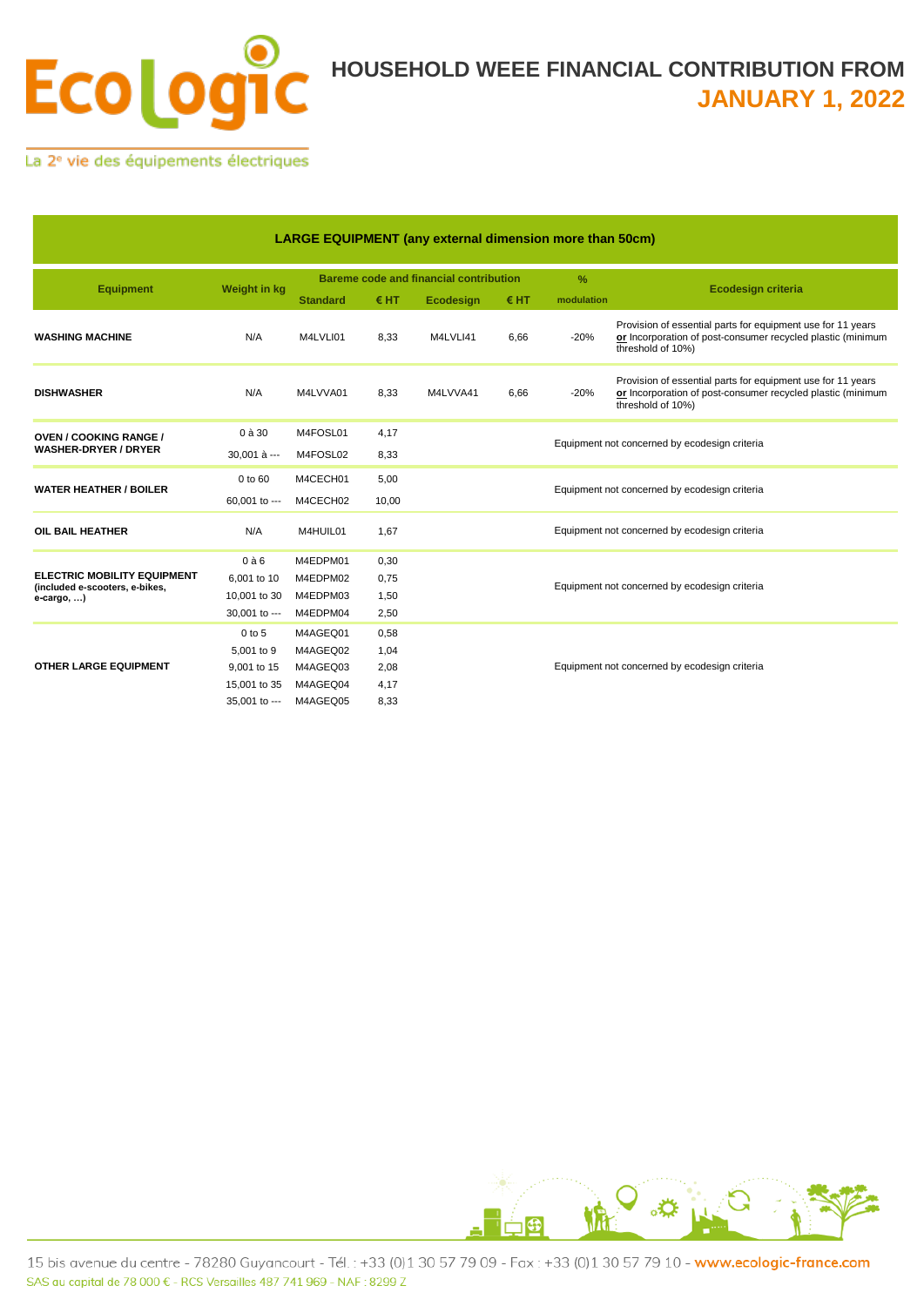

La 2<sup>e</sup> vie des équipements électriques

| <b>LARGE EQUIPMENT (any external dimension more than 50cm)</b>       |               |                                               |       |           |      |                                               |                                                                                                                                                 |  |  |
|----------------------------------------------------------------------|---------------|-----------------------------------------------|-------|-----------|------|-----------------------------------------------|-------------------------------------------------------------------------------------------------------------------------------------------------|--|--|
|                                                                      | Weight in kg  | <b>Bareme code and financial contribution</b> |       |           |      | $\frac{9}{6}$                                 |                                                                                                                                                 |  |  |
| <b>Equipment</b>                                                     |               | <b>Standard</b>                               | € HT  | Ecodesign | € HT | modulation                                    | <b>Ecodesign criteria</b>                                                                                                                       |  |  |
| <b>WASHING MACHINE</b>                                               | N/A           | M4LVLI01                                      | 8,33  | M4LVLI41  | 6,66 | $-20%$                                        | Provision of essential parts for equipment use for 11 years<br>or Incorporation of post-consumer recycled plastic (minimum<br>threshold of 10%) |  |  |
| <b>DISHWASHER</b>                                                    | N/A           | M4LVVA01                                      | 8,33  | M4LVVA41  | 6,66 | $-20%$                                        | Provision of essential parts for equipment use for 11 years<br>or Incorporation of post-consumer recycled plastic (minimum<br>threshold of 10%) |  |  |
| <b>OVEN / COOKING RANGE /</b><br><b>WASHER-DRYER / DRYER</b>         | 0 à 30        | M4FOSL01                                      | 4,17  |           |      | Equipment not concerned by ecodesign criteria |                                                                                                                                                 |  |  |
|                                                                      | 30.001 à ---  | M4FOSL02                                      | 8,33  |           |      |                                               |                                                                                                                                                 |  |  |
|                                                                      | 0 to 60       | M4CECH01                                      | 5,00  |           |      | Equipment not concerned by ecodesign criteria |                                                                                                                                                 |  |  |
| <b>WATER HEATHER / BOILER</b>                                        | 60.001 to --- | M4CECH02                                      | 10,00 |           |      |                                               |                                                                                                                                                 |  |  |
| OIL BAIL HEATHER                                                     | N/A           | M4HUIL01                                      | 1,67  |           |      | Equipment not concerned by ecodesign criteria |                                                                                                                                                 |  |  |
|                                                                      | $0$ à $6$     | M4EDPM01                                      | 0,30  |           |      | Equipment not concerned by ecodesign criteria |                                                                                                                                                 |  |  |
| <b>ELECTRIC MOBILITY EQUIPMENT</b><br>(included e-scooters, e-bikes, | 6,001 to 10   | M4EDPM02                                      | 0,75  |           |      |                                               |                                                                                                                                                 |  |  |
| e-cargo, )                                                           | 10,001 to 30  | M4EDPM03                                      | 1,50  |           |      |                                               |                                                                                                                                                 |  |  |
|                                                                      | 30,001 to --- | M4EDPM04                                      | 2,50  |           |      |                                               |                                                                                                                                                 |  |  |
| <b>OTHER LARGE EQUIPMENT</b>                                         | 0 to 5        | M4AGEQ01                                      | 0,58  |           |      | Equipment not concerned by ecodesign criteria |                                                                                                                                                 |  |  |
|                                                                      | 5,001 to 9    | M4AGEQ02                                      | 1,04  |           |      |                                               |                                                                                                                                                 |  |  |
|                                                                      | 9,001 to 15   | M4AGEQ03                                      | 2,08  |           |      |                                               |                                                                                                                                                 |  |  |
|                                                                      | 15,001 to 35  | M4AGEQ04                                      | 4,17  |           |      |                                               |                                                                                                                                                 |  |  |
|                                                                      | 35,001 to --- | M4AGEQ05                                      | 8,33  |           |      |                                               |                                                                                                                                                 |  |  |

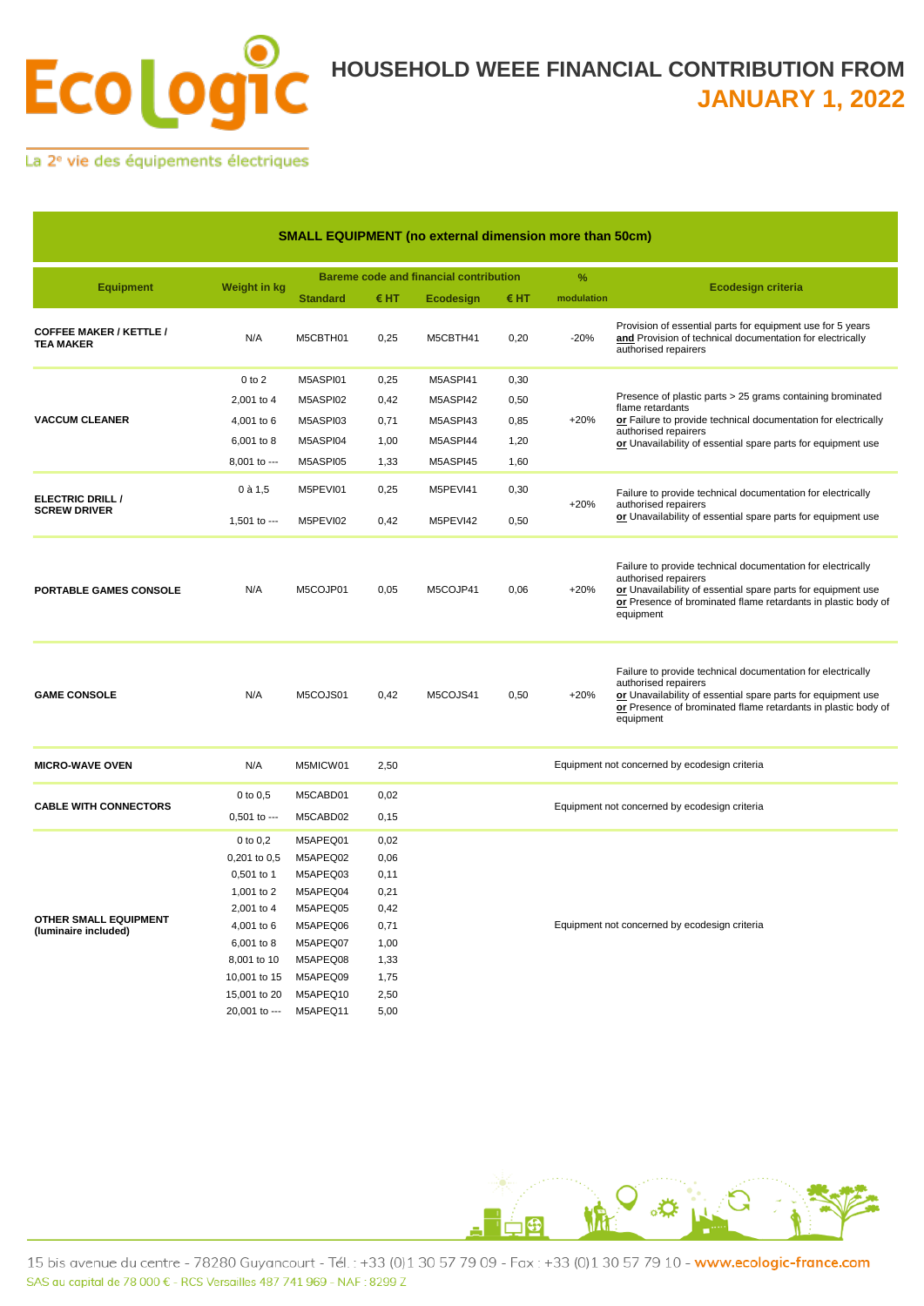

La 2<sup>e</sup> vie des équipements électriques

| <b>SMALL EQUIPMENT (no external dimension more than 50cm)</b> |                     |                                               |       |           |      |                                               |                                                                                                                                                                                                                                   |  |
|---------------------------------------------------------------|---------------------|-----------------------------------------------|-------|-----------|------|-----------------------------------------------|-----------------------------------------------------------------------------------------------------------------------------------------------------------------------------------------------------------------------------------|--|
|                                                               |                     | <b>Bareme code and financial contribution</b> |       |           |      | $\%$                                          |                                                                                                                                                                                                                                   |  |
| <b>Equipment</b>                                              | <b>Weight in kg</b> | <b>Standard</b>                               | €HT   | Ecodesign | €HT  | modulation                                    | <b>Ecodesign criteria</b>                                                                                                                                                                                                         |  |
| <b>COFFEE MAKER / KETTLE /</b><br><b>TEA MAKER</b>            | N/A                 | M5CBTH01                                      | 0,25  | M5CBTH41  | 0,20 | $-20%$                                        | Provision of essential parts for equipment use for 5 years<br>and Provision of technical documentation for electrically<br>authorised repairers                                                                                   |  |
|                                                               | $0$ to $2$          | M5ASPI01                                      | 0,25  | M5ASPI41  | 0,30 |                                               |                                                                                                                                                                                                                                   |  |
|                                                               | 2,001 to 4          | M5ASPI02                                      | 0,42  | M5ASPI42  | 0,50 |                                               | Presence of plastic parts > 25 grams containing brominated                                                                                                                                                                        |  |
| <b>VACCUM CLEANER</b>                                         | 4,001 to 6          | M5ASPI03                                      | 0,71  | M5ASPI43  | 0,85 | $+20%$                                        | flame retardants<br>or Failure to provide technical documentation for electrically                                                                                                                                                |  |
|                                                               | 6,001 to 8          | M5ASPI04                                      | 1,00  | M5ASPI44  | 1,20 |                                               | authorised repairers<br>or Unavailability of essential spare parts for equipment use                                                                                                                                              |  |
|                                                               | 8,001 to ---        | M5ASPI05                                      | 1,33  | M5ASPI45  | 1,60 |                                               |                                                                                                                                                                                                                                   |  |
|                                                               |                     |                                               |       |           |      |                                               |                                                                                                                                                                                                                                   |  |
| ELECTRIC DRILL /                                              | $0$ à 1,5           | M5PEVI01                                      | 0,25  | M5PEVI41  | 0,30 | $+20%$                                        | Failure to provide technical documentation for electrically<br>authorised repairers<br>or Unavailability of essential spare parts for equipment use                                                                               |  |
| <b>SCREW DRIVER</b>                                           | 1,501 to $--$       | M5PEVI02                                      | 0,42  | M5PEVI42  | 0,50 |                                               |                                                                                                                                                                                                                                   |  |
| PORTABLE GAMES CONSOLE                                        | N/A                 | M5COJP01                                      | 0,05  | M5COJP41  | 0,06 | $+20%$                                        | Failure to provide technical documentation for electrically<br>authorised repairers<br>or Unavailability of essential spare parts for equipment use<br>or Presence of brominated flame retardants in plastic body of<br>equipment |  |
| <b>GAME CONSOLE</b>                                           | N/A                 | M5COJS01                                      | 0,42  | M5COJS41  | 0,50 | $+20%$                                        | Failure to provide technical documentation for electrically<br>authorised repairers<br>or Unavailability of essential spare parts for equipment use<br>or Presence of brominated flame retardants in plastic body of<br>equipment |  |
| <b>MICRO-WAVE OVEN</b>                                        | N/A                 | M5MICW01                                      | 2,50  |           |      |                                               | Equipment not concerned by ecodesign criteria                                                                                                                                                                                     |  |
|                                                               | 0 to 0.5            | M5CABD01                                      | 0,02  |           |      |                                               |                                                                                                                                                                                                                                   |  |
| <b>CABLE WITH CONNECTORS</b>                                  | $0,501$ to ---      | M5CABD02                                      | 0, 15 |           |      | Equipment not concerned by ecodesign criteria |                                                                                                                                                                                                                                   |  |
|                                                               | $0$ to $0,2$        | M5APEQ01                                      | 0,02  |           |      |                                               |                                                                                                                                                                                                                                   |  |
| OTHER SMALL EQUIPMENT<br>(luminaire included)                 | 0,201 to 0,5        | M5APEQ02                                      | 0,06  |           |      |                                               |                                                                                                                                                                                                                                   |  |
|                                                               | 0,501 to 1          | M5APEQ03                                      | 0,11  |           |      |                                               |                                                                                                                                                                                                                                   |  |
|                                                               | 1,001 to 2          | M5APEQ04                                      | 0,21  |           |      |                                               |                                                                                                                                                                                                                                   |  |
|                                                               | 2,001 to 4          | M5APEQ05                                      | 0,42  |           |      |                                               |                                                                                                                                                                                                                                   |  |
|                                                               | 4,001 to 6          | M5APEQ06                                      | 0,71  |           |      | Equipment not concerned by ecodesign criteria |                                                                                                                                                                                                                                   |  |
|                                                               | 6,001 to 8          | M5APEQ07                                      | 1,00  |           |      |                                               |                                                                                                                                                                                                                                   |  |
|                                                               | 8,001 to 10         | M5APEQ08                                      | 1,33  |           |      |                                               |                                                                                                                                                                                                                                   |  |
|                                                               | 10,001 to 15        | M5APEQ09                                      | 1,75  |           |      |                                               |                                                                                                                                                                                                                                   |  |
|                                                               | 15,001 to 20        | M5APEQ10                                      | 2,50  |           |      |                                               |                                                                                                                                                                                                                                   |  |
|                                                               | 20.001 to ---       | M5APEQ11                                      | 5,00  |           |      |                                               |                                                                                                                                                                                                                                   |  |



15 bis avenue du centre - 78280 Guyancourt - Tél.: +33 (0)1 30 57 79 09 - Fax: +33 (0)1 30 57 79 10 - www.ecologic-france.com SAS au capital de 78 000 € - RCS Versailles 487 741 969 - NAF : 8299 Z